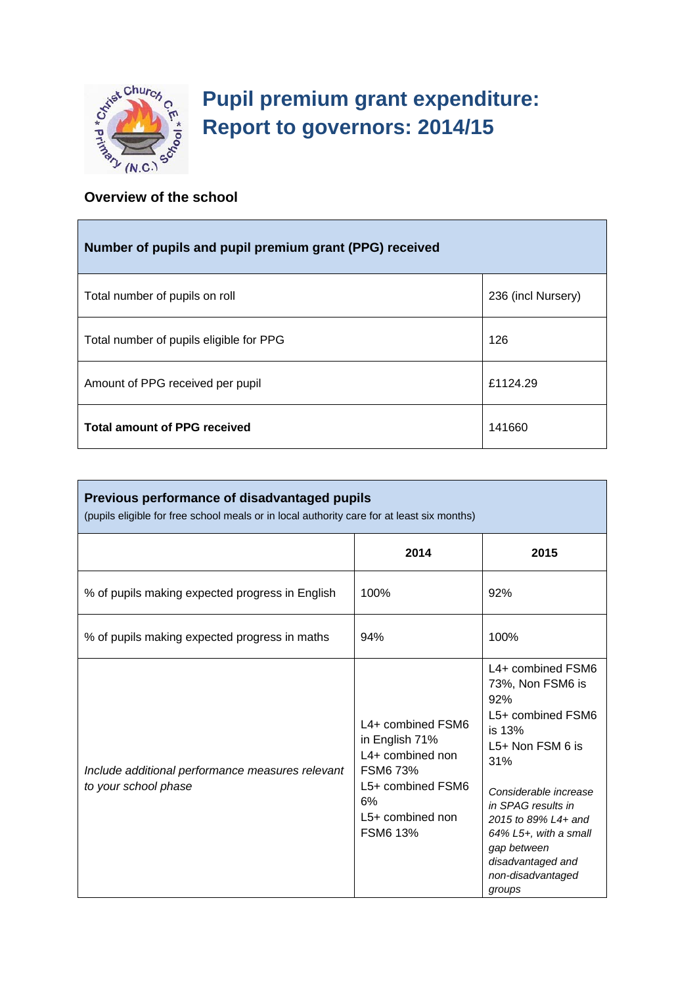

**F** 

# **Pupil premium grant expenditure: Report to governors: 2014/15**

### **Overview of the school**

| Number of pupils and pupil premium grant (PPG) received |                    |  |  |
|---------------------------------------------------------|--------------------|--|--|
| Total number of pupils on roll                          | 236 (incl Nursery) |  |  |
| Total number of pupils eligible for PPG                 | 126                |  |  |
| Amount of PPG received per pupil                        | £1124.29           |  |  |
| <b>Total amount of PPG received</b>                     | 141660             |  |  |

| Previous performance of disadvantaged pupils<br>(pupils eligible for free school meals or in local authority care for at least six months) |                                                                                                                                                |                                                                                                                                                                                                                                                                               |  |  |
|--------------------------------------------------------------------------------------------------------------------------------------------|------------------------------------------------------------------------------------------------------------------------------------------------|-------------------------------------------------------------------------------------------------------------------------------------------------------------------------------------------------------------------------------------------------------------------------------|--|--|
|                                                                                                                                            | 2014                                                                                                                                           | 2015                                                                                                                                                                                                                                                                          |  |  |
| % of pupils making expected progress in English                                                                                            | 100%                                                                                                                                           | 92%                                                                                                                                                                                                                                                                           |  |  |
| % of pupils making expected progress in maths                                                                                              | 94%                                                                                                                                            | 100%                                                                                                                                                                                                                                                                          |  |  |
| Include additional performance measures relevant<br>to your school phase                                                                   | L4+ combined FSM6<br>in English 71%<br>L4+ combined non<br><b>FSM6 73%</b><br>L5+ combined FSM6<br>6%<br>$L5+$ combined non<br><b>FSM6 13%</b> | L4+ combined FSM6<br>73%, Non FSM6 is<br>92%<br>L5+ combined FSM6<br>is 13%<br>$L5+$ Non FSM 6 is<br>31%<br>Considerable increase<br>in SPAG results in<br>2015 to 89% L4+ and<br>$64\%$ L5+, with a small<br>gap between<br>disadvantaged and<br>non-disadvantaged<br>groups |  |  |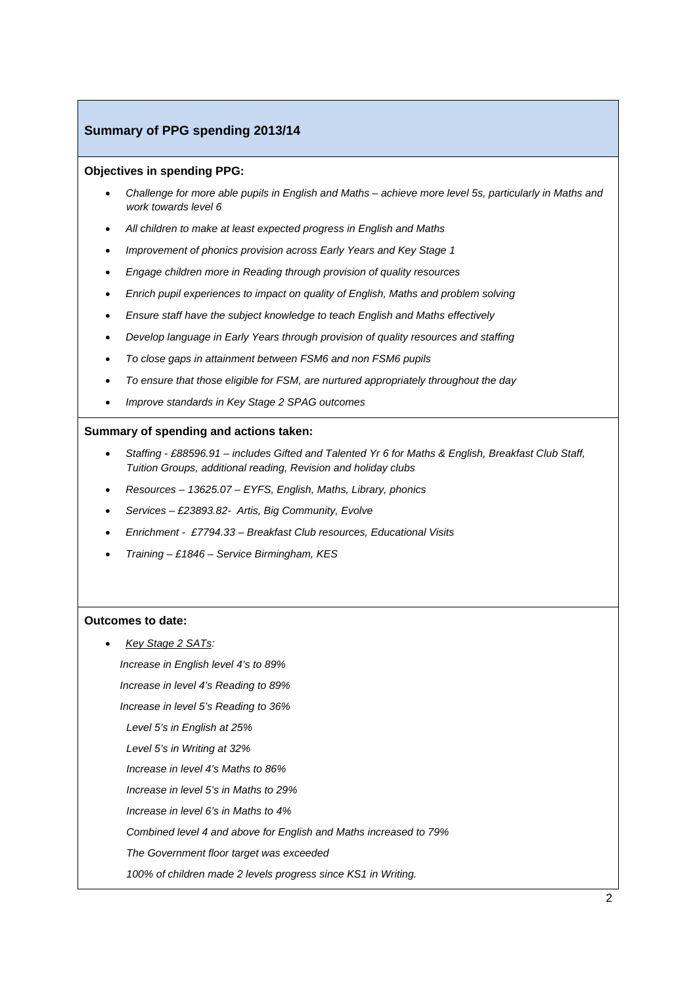#### **Summary of PPG spending 2013/14**

#### **Objectives in spending PPG:**

- *Challenge for more able pupils in English and Maths achieve more level 5s, particularly in Maths and work towards level 6*
- *All children to make at least expected progress in English and Maths*
- *Improvement of phonics provision across Early Years and Key Stage 1*
- *Engage children more in Reading through provision of quality resources*
- *Enrich pupil experiences to impact on quality of English, Maths and problem solving*
- *Ensure staff have the subject knowledge to teach English and Maths effectively*
- *Develop language in Early Years through provision of quality resources and staffing*
- *To close gaps in attainment between FSM6 and non FSM6 pupils*
- *To ensure that those eligible for FSM, are nurtured appropriately throughout the day*
- *Improve standards in Key Stage 2 SPAG outcomes*

#### **Summary of spending and actions taken:**

- *Staffing £88596.91 includes Gifted and Talented Yr 6 for Maths & English, Breakfast Club Staff, Tuition Groups, additional reading, Revision and holiday clubs*
- *Resources 13625.07 EYFS, English, Maths, Library, phonics*
- *Services £23893.82- Artis, Big Community, Evolve*
- *Enrichment £7794.33 Breakfast Club resources, Educational Visits*
- *Training £1846 Service Birmingham, KES*

#### **Outcomes to date:**

• *Key Stage 2 SATs:* 

 *Increase in English level 4's to 89%* 

 *Increase in level 4's Reading to 89%* 

 *Increase in level 5's Reading to 36%* 

*Level 5's in English at 25%* 

*Level 5's in Writing at 32%* 

*Increase in level 4's Maths to 86%* 

*Increase in level 5's in Maths to 29%* 

*Increase in level 6's in Maths to 4%* 

*Combined level 4 and above for English and Maths increased to 79%* 

*The Government floor target was exceeded* 

*100% of children made 2 levels progress since KS1 in Writing.*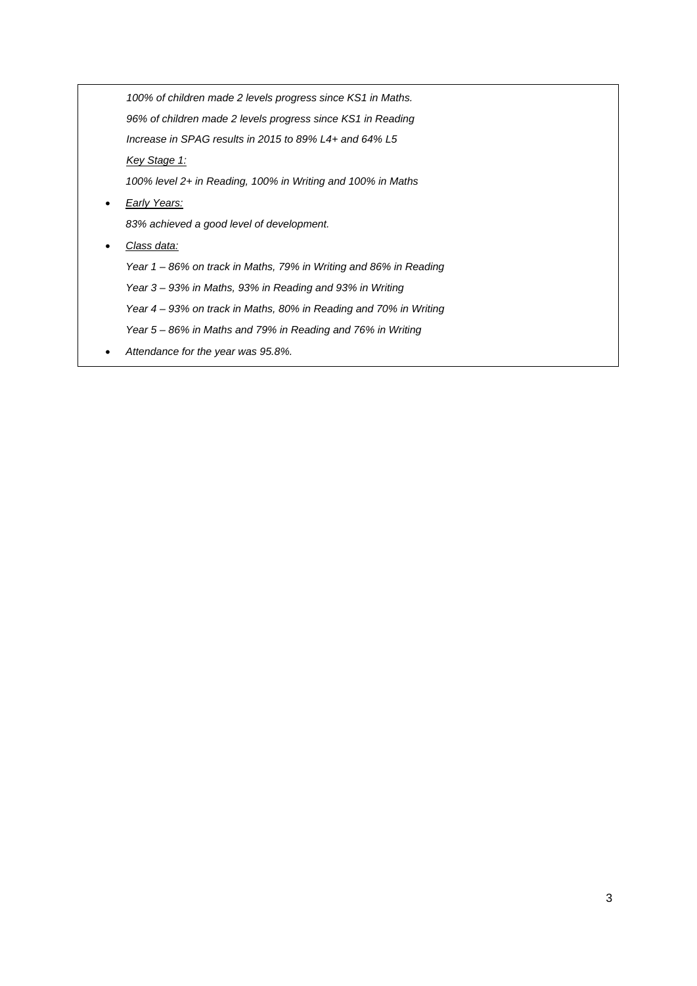*100% of children made 2 levels progress since KS1 in Maths. 96% of children made 2 levels progress since KS1 in Reading Increase in SPAG results in 2015 to 89% L4+ and 64% L5 Key Stage 1: 100% level 2+ in Reading, 100% in Writing and 100% in Maths*  • *Early Years: 83% achieved a good level of development.*  • *Class data: Year 1 – 86% on track in Maths, 79% in Writing and 86% in Reading Year 3 – 93% in Maths, 93% in Reading and 93% in Writing Year 4 – 93% on track in Maths, 80% in Reading and 70% in Writing* 

- *Year 5 86% in Maths and 79% in Reading and 76% in Writing*
- *Attendance for the year was 95.8%.*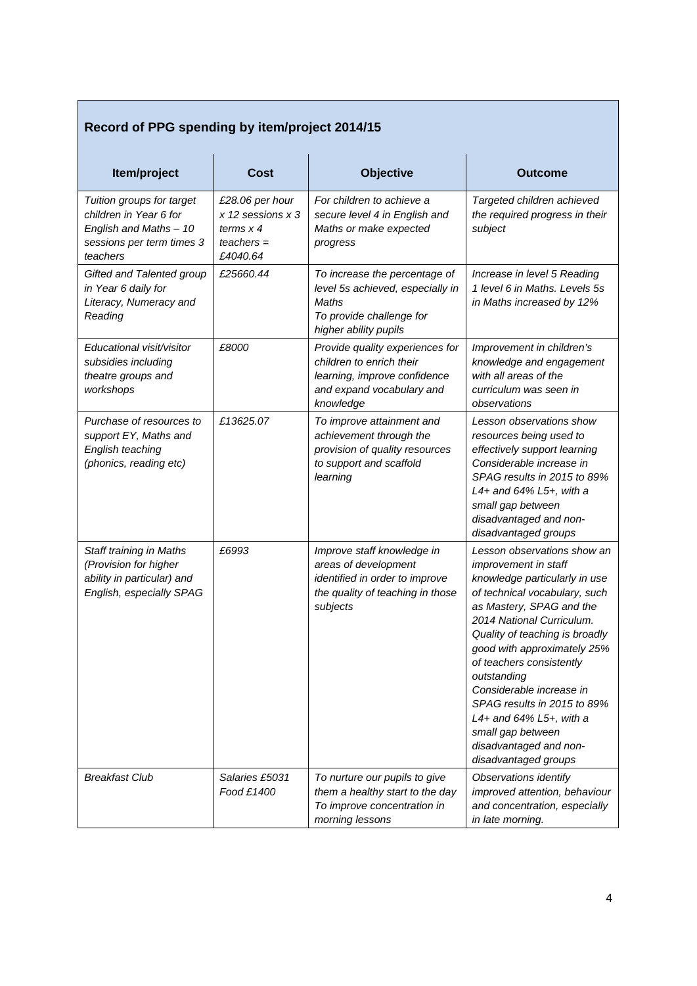## **Record of PPG spending by item/project 2014/15**

| Item/project                                                                                                           | <b>Cost</b>                                                                        | <b>Objective</b>                                                                                                                      | <b>Outcome</b>                                                                                                                                                                                                                                                                                                                                                                                                                                                    |
|------------------------------------------------------------------------------------------------------------------------|------------------------------------------------------------------------------------|---------------------------------------------------------------------------------------------------------------------------------------|-------------------------------------------------------------------------------------------------------------------------------------------------------------------------------------------------------------------------------------------------------------------------------------------------------------------------------------------------------------------------------------------------------------------------------------------------------------------|
| Tuition groups for target<br>children in Year 6 for<br>English and Maths - 10<br>sessions per term times 3<br>teachers | £28.06 per hour<br>$x$ 12 sessions $x$ 3<br>terms $x$ 4<br>$teaches =$<br>£4040.64 | For children to achieve a<br>secure level 4 in English and<br>Maths or make expected<br>progress                                      | Targeted children achieved<br>the required progress in their<br>subject                                                                                                                                                                                                                                                                                                                                                                                           |
| Gifted and Talented group<br>in Year 6 daily for<br>Literacy, Numeracy and<br>Reading                                  | £25660.44                                                                          | To increase the percentage of<br>level 5s achieved, especially in<br>Maths<br>To provide challenge for<br>higher ability pupils       | Increase in level 5 Reading<br>1 level 6 in Maths, Levels 5s<br>in Maths increased by 12%                                                                                                                                                                                                                                                                                                                                                                         |
| Educational visit/visitor<br>subsidies including<br>theatre groups and<br>workshops                                    | £8000                                                                              | Provide quality experiences for<br>children to enrich their<br>learning, improve confidence<br>and expand vocabulary and<br>knowledge | Improvement in children's<br>knowledge and engagement<br>with all areas of the<br>curriculum was seen in<br>observations                                                                                                                                                                                                                                                                                                                                          |
| Purchase of resources to<br>support EY, Maths and<br>English teaching<br>(phonics, reading etc)                        | £13625.07                                                                          | To improve attainment and<br>achievement through the<br>provision of quality resources<br>to support and scaffold<br>learning         | Lesson observations show<br>resources being used to<br>effectively support learning<br>Considerable increase in<br>SPAG results in 2015 to 89%<br>L4+ and $64\%$ L5+, with a<br>small gap between<br>disadvantaged and non-<br>disadvantaged groups                                                                                                                                                                                                               |
| Staff training in Maths<br>(Provision for higher<br>ability in particular) and<br>English, especially SPAG             | £6993                                                                              | Improve staff knowledge in<br>areas of development<br>identified in order to improve<br>the quality of teaching in those<br>subjects  | Lesson observations show an<br><i>improvement in staff</i><br>knowledge particularly in use<br>of technical vocabulary, such<br>as Mastery, SPAG and the<br>2014 National Curriculum.<br>Quality of teaching is broadly<br>good with approximately 25%<br>of teachers consistently<br>outstanding<br>Considerable increase in<br>SPAG results in 2015 to 89%<br>L4+ and $64\%$ L5+, with a<br>small gap between<br>disadvantaged and non-<br>disadvantaged groups |
| <b>Breakfast Club</b>                                                                                                  | Salaries £5031<br>Food £1400                                                       | To nurture our pupils to give<br>them a healthy start to the day<br>To improve concentration in<br>morning lessons                    | Observations identify<br>improved attention, behaviour<br>and concentration, especially<br>in late morning.                                                                                                                                                                                                                                                                                                                                                       |